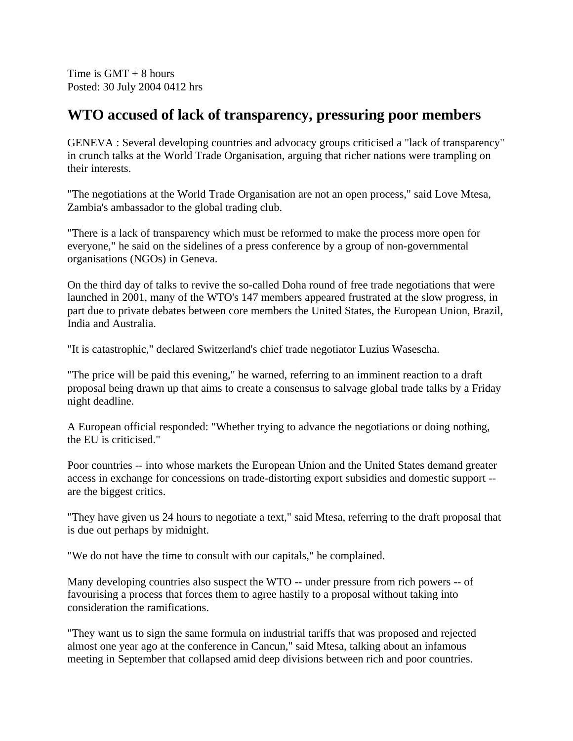Time is  $GMT + 8$  hours Posted: 30 July 2004 0412 hrs

## **WTO accused of lack of transparency, pressuring poor members**

GENEVA : Several developing countries and advocacy groups criticised a "lack of transparency" in crunch talks at the World Trade Organisation, arguing that richer nations were trampling on their interests.

"The negotiations at the World Trade Organisation are not an open process," said Love Mtesa, Zambia's ambassador to the global trading club.

"There is a lack of transparency which must be reformed to make the process more open for everyone," he said on the sidelines of a press conference by a group of non-governmental organisations (NGOs) in Geneva.

On the third day of talks to revive the so-called Doha round of free trade negotiations that were launched in 2001, many of the WTO's 147 members appeared frustrated at the slow progress, in part due to private debates between core members the United States, the European Union, Brazil, India and Australia.

"It is catastrophic," declared Switzerland's chief trade negotiator Luzius Wasescha.

"The price will be paid this evening," he warned, referring to an imminent reaction to a draft proposal being drawn up that aims to create a consensus to salvage global trade talks by a Friday night deadline.

A European official responded: "Whether trying to advance the negotiations or doing nothing, the EU is criticised."

Poor countries -- into whose markets the European Union and the United States demand greater access in exchange for concessions on trade-distorting export subsidies and domestic support - are the biggest critics.

"They have given us 24 hours to negotiate a text," said Mtesa, referring to the draft proposal that is due out perhaps by midnight.

"We do not have the time to consult with our capitals," he complained.

Many developing countries also suspect the WTO -- under pressure from rich powers -- of favourising a process that forces them to agree hastily to a proposal without taking into consideration the ramifications.

"They want us to sign the same formula on industrial tariffs that was proposed and rejected almost one year ago at the conference in Cancun," said Mtesa, talking about an infamous meeting in September that collapsed amid deep divisions between rich and poor countries.